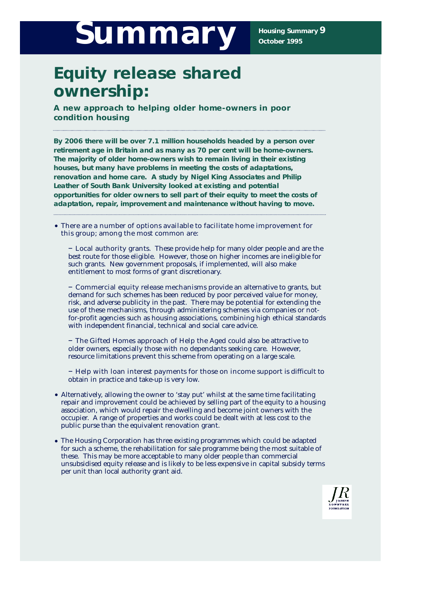# Summary **Bummary**

# **Equity release shared ownership:**

**A new approach to helping older home-owners in poor condition housing**

**By 2006 there will be over 7.1 million households headed by a person over** retirement age in Britain and as many as 70 per cent will be home-owners. **The majority of older home-owners wish to remain living in their existing houses, but many have problems in meeting the costs of adaptations, renovation and home care. A study by Nigel King Associates and Philip Leather of South Bank University looked at existing and potential** opportunities for older owners to sell part of their equity to meet the costs of adaptation, repair, improvement and maintenance without having to move.

**• There are a number of options available to facilitate home improvement for this group; among the most common are:**

**– Local authority grants.** These provide help for many older people and are the best route for those eligible. However, those on higher incomes are ineligible for such grants. New government proposals, if implemented, will also make entitlement to most forms of grant discretionary.

**– Commercial equity release mechanisms** provide an alternative to grants, but demand for such schemes has been reduced by poor perceived value for money, risk, and adverse publicity in the past. There may be potential for extending the use of these mechanisms, through administering schemes via companies or notfor-profit agencies such as housing associations, combining high ethical standards with independent financial, technical and social care advice.

**– The Gifted Homes approach of Help the Aged** could also be attractive to older owners, especially those with no dependants seeking care. However, resource limitations prevent this scheme from operating on a large scale.

**– Help with loan interest payments for those on income support** is difficult to obtain in practice and take-up is very low.

- Alternatively, allowing the owner to 'stay put' whilst at the same time facilitating repair and improvement could be achieved by selling part of the equity to a housing association, which would repair the dwelling and become joint owners with the occupier. A range of properties and works could be dealt with at less cost to the public purse than the equivalent renovation grant.
- The Housing Corporation has three existing programmes which could be adapted for such a scheme, the rehabilitation for sale programme being the most suitable of these. This may be more acceptable to many older people than commercial unsubsidised equity release and is likely to be less expensive in capital subsidy terms per unit than local authority grant aid.

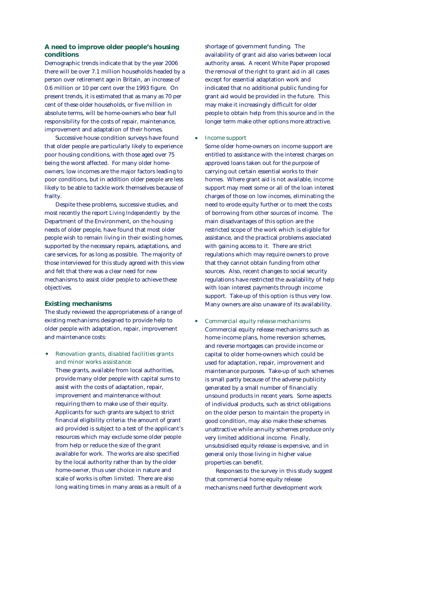# **A need to improve older people's housing c o n d i t i o n s**

Demographic trends indicate that by the year 2006 there will be over 7.1 million households headed by a person over retirement age in Britain, an increase of 0.6 million or 10 per cent over the 1993 figure. On present trends, it is estimated that as many as 70 per cent of these older households, or five million in absolute terms, will be home-owners who bear full responsibility for the costs of repair, maintenance, improvement and adaptation of their homes.

Successive house condition surveys have found that older people are particularly likely to experience poor housing conditions, with those aged over 75 being the worst affected. For many older homeowners, low incomes are the major factors leading to poor conditions, but in addition older people are less likely to be able to tackle work themselves because of frailty.

Despite these problems, successive studies, and most recently the report *Living Independently* by the Department of the Environment, on the housing needs of older people, have found that most older people wish to remain living in their existing homes, supported by the necessary repairs, adaptations, and care services, for as long as possible. The majority of those interviewed for this study agreed with this view and felt that there was a clear need for new mechanisms to assist older people to achieve these objectives.

## **Existing mechanisms**

The study reviewed the appropriateness of a range of existing mechanisms designed to provide help to older people with adaptation, repair, improvement and maintenance costs:

• *Renovation grants, disabled facilities grants and minor works assistance:*

These grants, available from local authorities, provide many older people with capital sums to assist with the costs of adaptation, repair, improvement and maintenance without requiring them to make use of their equity. Applicants for such grants are subject to strict financial eligibility criteria: the amount of grant aid provided is subject to a test of the applicant's resources which may exclude some older people from help or reduce the size of the grant available for work. The works are also specified by the local authority rather than by the older home-owner, thus user choice in nature and scale of works is often limited. There are also long waiting times in many areas as a result of a

shortage of government funding. The availability of grant aid also varies between local authority areas. A recent White Paper proposed the removal of the right to grant aid in all cases except for essential adaptation work and indicated that no additional public funding for grant aid would be provided in the future. This may make it increasingly difficult for older people to obtain help from this source and in the longer term make other options more attractive.

# • *Income support*

Some older home-owners on income support are entitled to assistance with the interest charges on approved loans taken out for the purpose of carrying out certain essential works to their homes. Where grant aid is not available, income support may meet some or all of the loan interest charges of those on low incomes, eliminating the need to erode equity further or to meet the costs of borrowing from other sources of income. The main disadvantages of this option are the restricted scope of the work which is eligible for assistance, and the practical problems associated with gaining access to it. There are strict regulations which may require owners to prove that they cannot obtain funding from other sources. Also, recent changes to social security regulations have restricted the availability of help with loan interest payments through income support. Take-up of this option is thus very low. Many owners are also unaware of its availability.

• *Commercial equity release mechanisms* Commercial equity release mechanisms such as home income plans, home reversion schemes, and reverse mortgages can provide income or capital to older home-owners which could be used for adaptation, repair, improvement and maintenance purposes. Take-up of such schemes is small partly because of the adverse publicity generated by a small number of financially unsound products in recent years. Some aspects of individual products, such as strict obligations on the older person to maintain the property in good condition, may also make these schemes unattractive while annuity schemes produce only very limited additional income. Finally, unsubsidised equity release is expensive, and in general only those living in higher value properties can benefit.

Responses to the survey in this study suggest that commercial home equity release mechanisms need further development work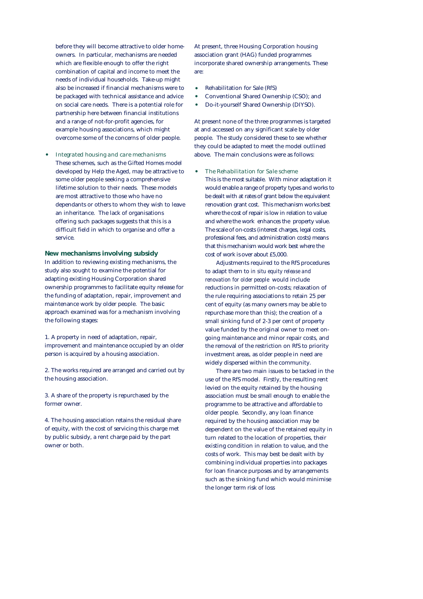before they will become attractive to older homeowners. In particular, mechanisms are needed which are flexible enough to offer the right combination of capital and income to meet the needs of individual households. Take-up might also be increased if financial mechanisms were to be packaged with technical assistance and advice on social care needs. There is a potential role for partnership here between financial institutions and a range of not-for-profit agencies, for example housing associations, which might overcome some of the concerns of older people.

• *Integrated housing and care mechanisms* These schemes, such as the Gifted Homes model developed by Help the Aged, may be attractive to some older people seeking a comprehensive lifetime solution to their needs. These models are most attractive to those who have no dependants or others to whom they wish to leave an inheritance. The lack of organisations offering such packages suggests that this is a difficult field in which to organise and offer a service.

# **New mechanisms involving subsidy**

In addition to reviewing existing mechanisms, the study also sought to examine the potential for adapting existing Housing Corporation shared ownership programmes to facilitate equity release for the funding of adaptation, repair, improvement and maintenance work by older people. The basic approach examined was for a mechanism involving the following stages:

1. A property in need of adaptation, repair, improvement and maintenance occupied by an older person is acquired by a housing association.

2. The works required are arranged and carried out by the housing association.

3. A share of the property is repurchased by the former owner.

4. The housing association retains the residual share of equity, with the cost of servicing this charge met by public subsidy, a rent charge paid by the part owner or both.

At present, three Housing Corporation housing association grant (HAG) funded programmes incorporate shared ownership arrangements. These are:

- Rehabilitation for Sale (RfS)
- Conventional Shared Ownership (CSO); and
- Do-it-yourself Shared Ownership (DIYSO).

At present none of the three programmes is targeted at and accessed on any significant scale by older people. The study considered these to see whether they could be adapted to meet the model outlined above. The main conclusions were as follows:

#### • *The Rehabilitation for Sale scheme*

This is the most suitable. With minor adaptation it would enable a range of property types and works to be dealt with at rates of grant below the equivalent renovation grant cost. This mechanism works best where the cost of repair is low in relation to value and where the work enhances the property value. The scale of on-costs (interest charges, legal costs, professional fees, and administration costs) means that this mechanism would work best where the cost of work is over about £5,000.

Adjustments required to the RfS procedures to adapt them to *in situ equity release and renovation for older people* would include reductions in permitted on-costs; relaxation of the rule requiring associations to retain 25 per cent of equity (as many owners may be able to repurchase more than this); the creation of a small sinking fund of 2-3 per cent of property value funded by the original owner to meet ongoing maintenance and minor repair costs, and the removal of the restriction on RfS to priority investment areas, as older people in need are widely dispersed within the community.

There are two main issues to be tacked in the use of the RfS model. Firstly, the resulting rent levied on the equity retained by the housing association must be small enough to enable the programme to be attractive and affordable to older people. Secondly, any loan finance required by the housing association may be dependent on the value of the retained equity in turn related to the location of properties, their existing condition in relation to value, and the costs of work. This may best be dealt with by combining individual properties into packages for loan finance purposes and by arrangements such as the sinking fund which would minimise the longer term risk of loss